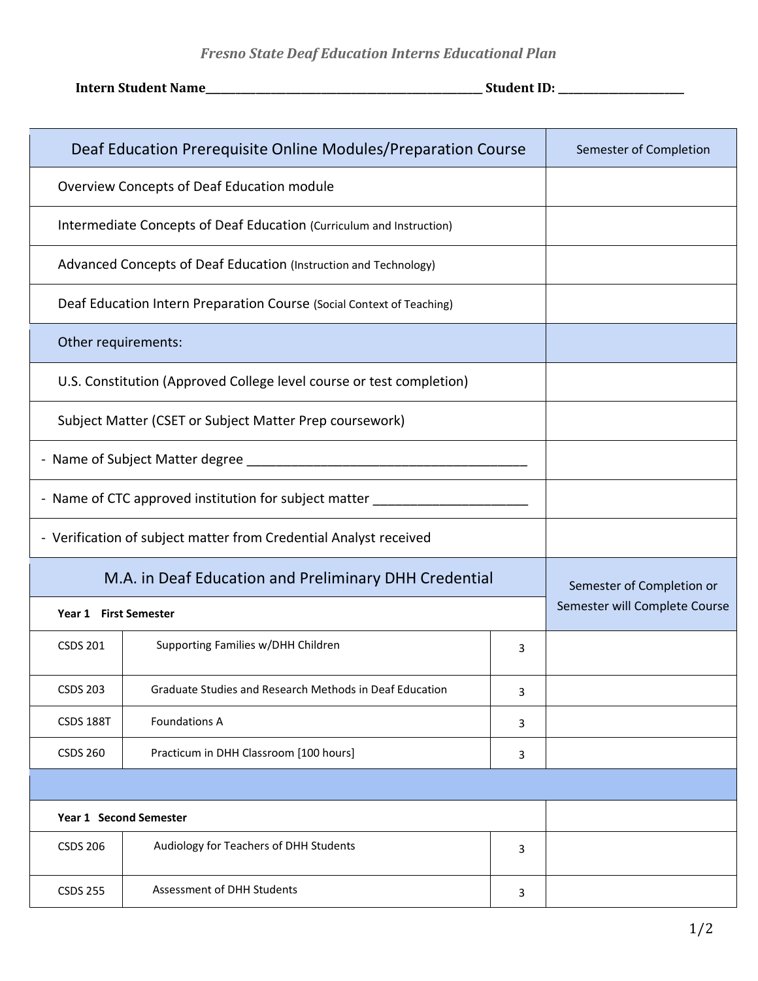## *Fresno State Deaf Education Interns Educational Plan*

**Intern Student Name\_\_\_\_\_\_\_\_\_\_\_\_\_\_\_\_\_\_\_\_\_\_\_\_\_\_\_\_\_\_\_\_\_\_\_\_\_\_\_\_\_\_\_\_\_\_\_\_\_\_\_\_\_\_\_ Student ID: \_\_\_\_\_\_\_\_\_\_\_\_\_\_\_\_\_\_\_\_\_\_\_\_\_**

| Deaf Education Prerequisite Online Modules/Preparation Course         |                                                         |   | Semester of Completion                                     |
|-----------------------------------------------------------------------|---------------------------------------------------------|---|------------------------------------------------------------|
| Overview Concepts of Deaf Education module                            |                                                         |   |                                                            |
| Intermediate Concepts of Deaf Education (Curriculum and Instruction)  |                                                         |   |                                                            |
| Advanced Concepts of Deaf Education (Instruction and Technology)      |                                                         |   |                                                            |
| Deaf Education Intern Preparation Course (Social Context of Teaching) |                                                         |   |                                                            |
| Other requirements:                                                   |                                                         |   |                                                            |
| U.S. Constitution (Approved College level course or test completion)  |                                                         |   |                                                            |
| Subject Matter (CSET or Subject Matter Prep coursework)               |                                                         |   |                                                            |
| - Name of Subject Matter degree                                       |                                                         |   |                                                            |
| - Name of CTC approved institution for subject matter _____           |                                                         |   |                                                            |
| - Verification of subject matter from Credential Analyst received     |                                                         |   |                                                            |
| M.A. in Deaf Education and Preliminary DHH Credential                 |                                                         |   | Semester of Completion or<br>Semester will Complete Course |
| Year 1 First Semester                                                 |                                                         |   |                                                            |
| <b>CSDS 201</b>                                                       | Supporting Families w/DHH Children                      | 3 |                                                            |
| <b>CSDS 203</b>                                                       | Graduate Studies and Research Methods in Deaf Education | 3 |                                                            |
| <b>CSDS 188T</b>                                                      | Foundations A                                           | 3 |                                                            |
| <b>CSDS 260</b>                                                       | Practicum in DHH Classroom [100 hours]                  | 3 |                                                            |
|                                                                       |                                                         |   |                                                            |
| Year 1 Second Semester                                                |                                                         |   |                                                            |
| <b>CSDS 206</b>                                                       | Audiology for Teachers of DHH Students                  | 3 |                                                            |
| <b>CSDS 255</b>                                                       | Assessment of DHH Students                              | 3 |                                                            |